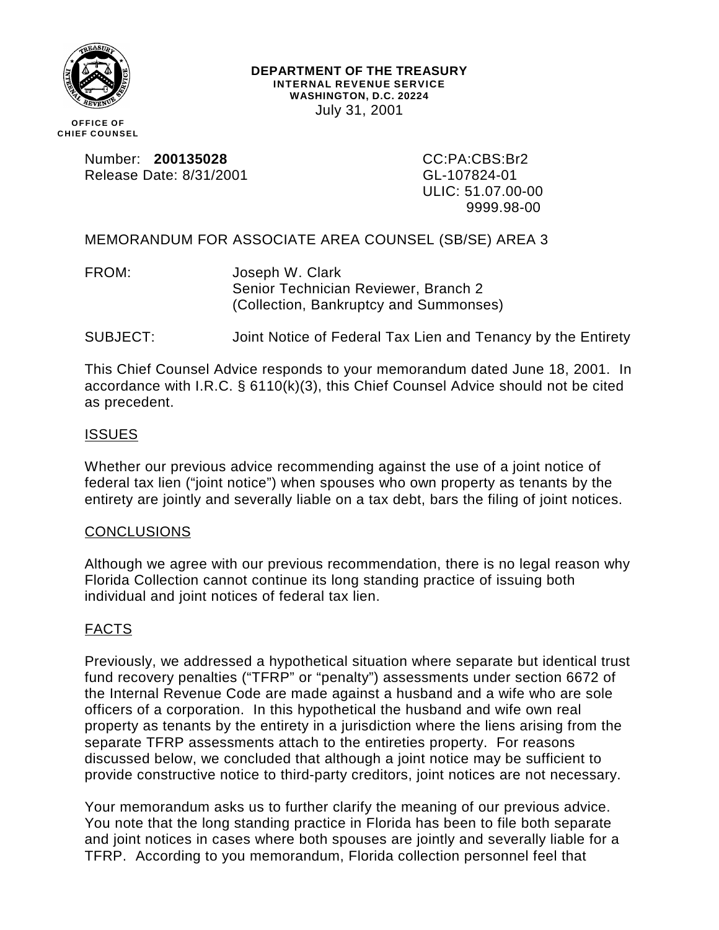

#### **DEPARTMENT OF THE TREASURY INTERNAL REVENUE SERVICE WASHINGTON, D.C. 20224** July 31, 2001

**OFFICE OF CHIEF COUNSEL**

> Number: **200135028** CC:PA:CBS:Br2 Release Date: 8/31/2001 GL-107824-01

ULIC: 51.07.00-00 9999.98-00

MEMORANDUM FOR ASSOCIATE AREA COUNSEL (SB/SE) AREA 3

FROM: Joseph W. Clark Senior Technician Reviewer, Branch 2 (Collection, Bankruptcy and Summonses)

SUBJECT: Joint Notice of Federal Tax Lien and Tenancy by the Entirety

This Chief Counsel Advice responds to your memorandum dated June 18, 2001. In accordance with I.R.C. § 6110(k)(3), this Chief Counsel Advice should not be cited as precedent.

# ISSUES

Whether our previous advice recommending against the use of a joint notice of federal tax lien ("joint notice") when spouses who own property as tenants by the entirety are jointly and severally liable on a tax debt, bars the filing of joint notices.

#### CONCLUSIONS

Although we agree with our previous recommendation, there is no legal reason why Florida Collection cannot continue its long standing practice of issuing both individual and joint notices of federal tax lien.

# FACTS

Previously, we addressed a hypothetical situation where separate but identical trust fund recovery penalties ("TFRP" or "penalty") assessments under section 6672 of the Internal Revenue Code are made against a husband and a wife who are sole officers of a corporation. In this hypothetical the husband and wife own real property as tenants by the entirety in a jurisdiction where the liens arising from the separate TFRP assessments attach to the entireties property. For reasons discussed below, we concluded that although a joint notice may be sufficient to provide constructive notice to third-party creditors, joint notices are not necessary.

Your memorandum asks us to further clarify the meaning of our previous advice. You note that the long standing practice in Florida has been to file both separate and joint notices in cases where both spouses are jointly and severally liable for a TFRP. According to you memorandum, Florida collection personnel feel that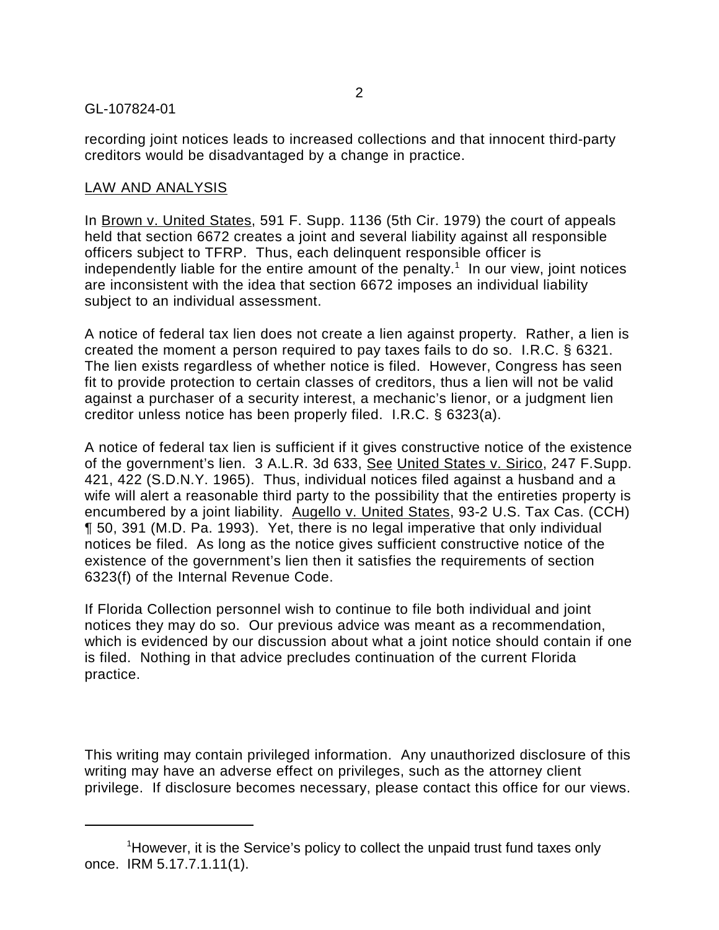## GL-107824-01

recording joint notices leads to increased collections and that innocent third-party creditors would be disadvantaged by a change in practice.

## LAW AND ANALYSIS

In Brown v. United States, 591 F. Supp. 1136 (5th Cir. 1979) the court of appeals held that section 6672 creates a joint and several liability against all responsible officers subject to TFRP. Thus, each delinquent responsible officer is independently liable for the entire amount of the penalty.<sup>1</sup> In our view, joint notices are inconsistent with the idea that section 6672 imposes an individual liability subject to an individual assessment.

A notice of federal tax lien does not create a lien against property. Rather, a lien is created the moment a person required to pay taxes fails to do so. I.R.C. § 6321. The lien exists regardless of whether notice is filed. However, Congress has seen fit to provide protection to certain classes of creditors, thus a lien will not be valid against a purchaser of a security interest, a mechanic's lienor, or a judgment lien creditor unless notice has been properly filed. I.R.C. § 6323(a).

A notice of federal tax lien is sufficient if it gives constructive notice of the existence of the government's lien. 3 A.L.R. 3d 633, See United States v. Sirico, 247 F.Supp. 421, 422 (S.D.N.Y. 1965). Thus, individual notices filed against a husband and a wife will alert a reasonable third party to the possibility that the entireties property is encumbered by a joint liability. Augello v. United States, 93-2 U.S. Tax Cas. (CCH) ¶ 50, 391 (M.D. Pa. 1993). Yet, there is no legal imperative that only individual notices be filed. As long as the notice gives sufficient constructive notice of the existence of the government's lien then it satisfies the requirements of section 6323(f) of the Internal Revenue Code.

If Florida Collection personnel wish to continue to file both individual and joint notices they may do so. Our previous advice was meant as a recommendation, which is evidenced by our discussion about what a joint notice should contain if one is filed. Nothing in that advice precludes continuation of the current Florida practice.

This writing may contain privileged information. Any unauthorized disclosure of this writing may have an adverse effect on privileges, such as the attorney client privilege. If disclosure becomes necessary, please contact this office for our views.

<sup>&</sup>lt;sup>1</sup>However, it is the Service's policy to collect the unpaid trust fund taxes only once. IRM 5.17.7.1.11(1).